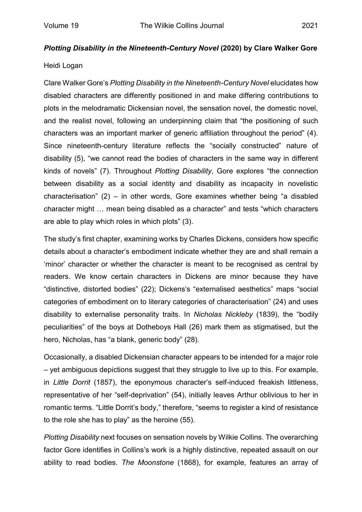## Heidi Logan

Clare Walker Gore's *Plotting Disability in the Nineteenth-Century Novel* elucidates how disabled characters are differently positioned in and make differing contributions to plots in the melodramatic Dickensian novel, the sensation novel, the domestic novel, and the realist novel, following an underpinning claim that "the positioning of such characters was an important marker of generic affiliation throughout the period" (4). Since nineteenth-century literature reflects the "socially constructed" nature of disability (5), "we cannot read the bodies of characters in the same way in different kinds of novels" (7). Throughout *Plotting Disability*, Gore explores "the connection between disability as a social identity and disability as incapacity in novelistic characterisation" (2) – in other words, Gore examines whether being "a disabled character might … mean being disabled as a character" and tests "which characters are able to play which roles in which plots" (3).

The study's first chapter, examining works by Charles Dickens, considers how specific details about a character's embodiment indicate whether they are and shall remain a 'minor' character or whether the character is meant to be recognised as central by readers. We know certain characters in Dickens are minor because they have "distinctive, distorted bodies" (22); Dickens's "externalised aesthetics" maps "social categories of embodiment on to literary categories of characterisation" (24) and uses disability to externalise personality traits. In *Nicholas Nickleby* (1839), the "bodily peculiarities" of the boys at Dotheboys Hall (26) mark them as stigmatised, but the hero, Nicholas, has "a blank, generic body" (28).

Occasionally, a disabled Dickensian character appears to be intended for a major role – yet ambiguous depictions suggest that they struggle to live up to this. For example, in *Little Dorrit* (1857), the eponymous character's self-induced freakish littleness, representative of her "self-deprivation" (54), initially leaves Arthur oblivious to her in romantic terms. "Little Dorrit's body," therefore, "seems to register a kind of resistance to the role she has to play" as the heroine (55).

*Plotting Disability* next focuses on sensation novels by Wilkie Collins. The overarching factor Gore identifies in Collins's work is a highly distinctive, repeated assault on our ability to read bodies. *The Moonstone* (1868), for example, features an array of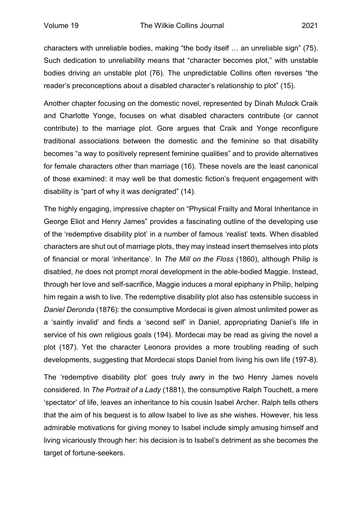characters with unreliable bodies, making "the body itself … an unreliable sign" (75). Such dedication to unreliability means that "character becomes plot," with unstable bodies driving an unstable plot (76). The unpredictable Collins often reverses "the reader's preconceptions about a disabled character's relationship to plot" (15).

Another chapter focusing on the domestic novel, represented by Dinah Mulock Craik and Charlotte Yonge, focuses on what disabled characters contribute (or cannot contribute) to the marriage plot. Gore argues that Craik and Yonge reconfigure traditional associations between the domestic and the feminine so that disability becomes "a way to positively represent feminine qualities" and to provide alternatives for female characters other than marriage (16). These novels are the least canonical of those examined: it may well be that domestic fiction's frequent engagement with disability is "part of why it was denigrated" (14).

The highly engaging, impressive chapter on "Physical Frailty and Moral Inheritance in George Eliot and Henry James" provides a fascinating outline of the developing use of the 'redemptive disability plot' in a number of famous 'realist' texts. When disabled characters are shut out of marriage plots, they may instead insert themselves into plots of financial or moral 'inheritance'. In *The Mill on the Floss* (1860), although Philip is disabled, *he* does not prompt moral development in the able-bodied Maggie. Instead, through her love and self-sacrifice, Maggie induces a moral epiphany in Philip, helping him regain a wish to live. The redemptive disability plot also has ostensible success in *Daniel Deronda* (1876): the consumptive Mordecai is given almost unlimited power as a 'saintly invalid' and finds a 'second self' in Daniel, appropriating Daniel's life in service of his own religious goals (194). Mordecai may be read as giving the novel a plot (187). Yet the character Leonora provides a more troubling reading of such developments, suggesting that Mordecai stops Daniel from living his own life (197-8).

The 'redemptive disability plot' goes truly awry in the two Henry James novels considered. In *The Portrait of a Lady* (1881), the consumptive Ralph Touchett, a mere 'spectator' of life, leaves an inheritance to his cousin Isabel Archer. Ralph tells others that the aim of his bequest is to allow Isabel to live as she wishes. However, his less admirable motivations for giving money to Isabel include simply amusing himself and living vicariously through her: his decision is to Isabel's detriment as she becomes the target of fortune-seekers.